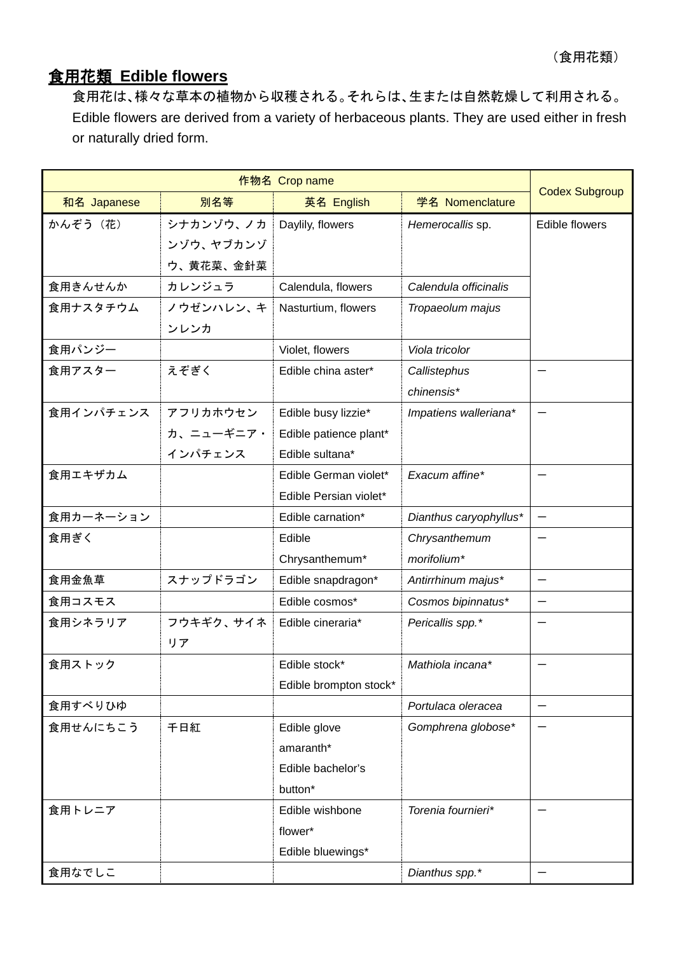## 食用花類 **Edible flowers**

食用花は、様々な草本の植物から収穫される。それらは、生または自然乾燥して利用される。 Edible flowers are derived from a variety of herbaceous plants. They are used either in fresh or naturally dried form.

| 和名 Japanese | 別名等       | 英名 English             | 学名 Nomenclature        | <b>Codex Subgroup</b>    |
|-------------|-----------|------------------------|------------------------|--------------------------|
| かんぞう (花)    | シナカンゾウ、ノカ | Daylily, flowers       | Hemerocallis sp.       | Edible flowers           |
|             | ンゾウ、ヤブカンゾ |                        |                        |                          |
|             | ウ、黄花菜、金針菜 |                        |                        |                          |
| 食用きんせんか     | カレンジュラ    | Calendula, flowers     | Calendula officinalis  |                          |
| 食用ナスタチウム    | ノウゼンハレン、キ | Nasturtium, flowers    | Tropaeolum majus       |                          |
|             | ンレンカ      |                        |                        |                          |
| 食用パンジー      |           | Violet, flowers        | Viola tricolor         |                          |
| 食用アスター      | えぞぎく      | Edible china aster*    | Callistephus           |                          |
|             |           |                        | chinensis*             |                          |
| 食用インパチェンス   | アフリカホウセン  | Edible busy lizzie*    | Impatiens walleriana*  |                          |
|             | カ、ニューギニア・ | Edible patience plant* |                        |                          |
|             | インパチェンス   | Edible sultana*        |                        |                          |
| 食用エキザカム     |           | Edible German violet*  | Exacum affine*         |                          |
|             |           | Edible Persian violet* |                        |                          |
| 食用カーネーション   |           | Edible carnation*      | Dianthus caryophyllus* |                          |
| 食用ぎく        |           | Edible                 | Chrysanthemum          |                          |
|             |           | Chrysanthemum*         | morifolium*            |                          |
| 食用金魚草       | スナップドラゴン  | Edible snapdragon*     | Antirrhinum majus*     | $\overline{\phantom{0}}$ |
| 食用コスモス      |           | Edible cosmos*         | Cosmos bipinnatus*     |                          |
| 食用シネラリア     | フウキギク、サイネ | Edible cineraria*      | Pericallis spp.*       |                          |
|             | リア        |                        |                        |                          |
| 食用ストック      |           | Edible stock*          | Mathiola incana*       |                          |
|             |           | Edible brompton stock* |                        |                          |
| 食用すべりひゆ     |           |                        | Portulaca oleracea     | -                        |
| 食用せんにちこう    | 千日紅       | Edible glove           | Gomphrena globose*     |                          |
|             |           | amaranth*              |                        |                          |
|             |           | Edible bachelor's      |                        |                          |
|             |           | button*                |                        |                          |
| 食用トレニア      |           | Edible wishbone        | Torenia fournieri*     |                          |
|             |           | flower*                |                        |                          |
|             |           | Edible bluewings*      |                        |                          |
| 食用なでしこ      |           |                        | Dianthus spp.*         |                          |